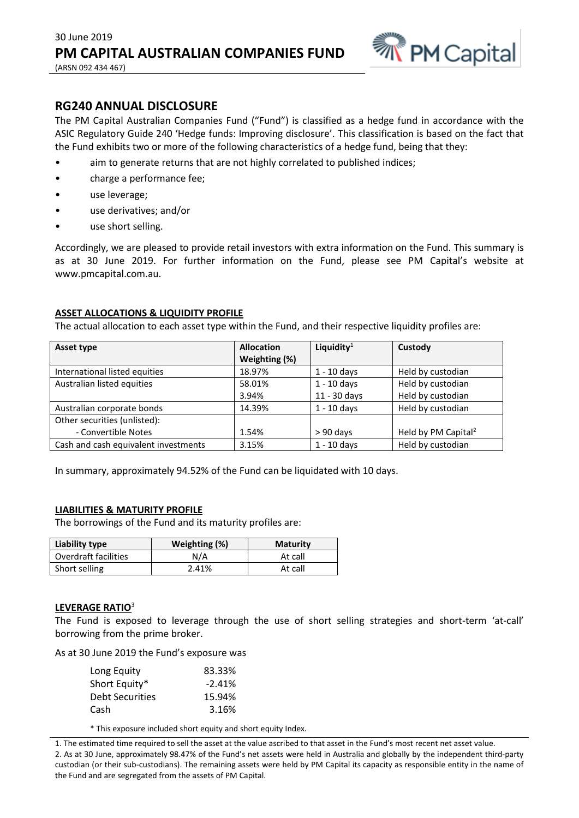

# **RG240 ANNUAL DISCLOSURE**

The PM Capital Australian Companies Fund ("Fund") is classified as a hedge fund in accordance with the ASIC Regulatory Guide 240 'Hedge funds: Improving disclosure'. This classification is based on the fact that the Fund exhibits two or more of the following characteristics of a hedge fund, being that they:

- aim to generate returns that are not highly correlated to published indices;
- charge a performance fee;
- use leverage;
- use derivatives; and/or
- use short selling.

Accordingly, we are pleased to provide retail investors with extra information on the Fund. This summary is as at 30 June 2019. For further information on the Fund, please see PM Capital's website at www.pmcapital.com.au.

# **ASSET ALLOCATIONS & LIQUIDITY PROFILE**

The actual allocation to each asset type within the Fund, and their respective liquidity profiles are:

| Asset type                           | <b>Allocation</b> | Liquidity $1$ | Custody                         |
|--------------------------------------|-------------------|---------------|---------------------------------|
|                                      | Weighting (%)     |               |                                 |
| International listed equities        | 18.97%            | $1 - 10$ days | Held by custodian               |
| Australian listed equities           | 58.01%            | $1 - 10$ days | Held by custodian               |
|                                      | 3.94%             | 11 - 30 days  | Held by custodian               |
| Australian corporate bonds           | 14.39%            | $1 - 10$ days | Held by custodian               |
| Other securities (unlisted):         |                   |               |                                 |
| - Convertible Notes                  | 1.54%             | $> 90$ days   | Held by PM Capital <sup>2</sup> |
| Cash and cash equivalent investments | 3.15%             | $1 - 10$ days | Held by custodian               |

In summary, approximately 94.52% of the Fund can be liquidated with 10 days.

## **LIABILITIES & MATURITY PROFILE**

The borrowings of the Fund and its maturity profiles are:

| Liability type       | Weighting (%) | <b>Maturity</b> |
|----------------------|---------------|-----------------|
| Overdraft facilities | N/A           | At call         |
| Short selling        | 2.41%         | At call         |

## **LEVERAGE RATIO**<sup>3</sup>

The Fund is exposed to leverage through the use of short selling strategies and short-term 'at-call' borrowing from the prime broker.

As at 30 June 2019 the Fund's exposure was

| Long Equity            | 83.33%   |
|------------------------|----------|
| Short Equity*          | $-2.41%$ |
| <b>Debt Securities</b> | 15.94%   |
| Cash                   | 3.16%    |

\* This exposure included short equity and short equity Index.

1. The estimated time required to sell the asset at the value ascribed to that asset in the Fund's most recent net asset value. 2. As at 30 June, approximately 98.47% of the Fund's net assets were held in Australia and globally by the independent third-party custodian (or their sub-custodians). The remaining assets were held by PM Capital its capacity as responsible entity in the name of the Fund and are segregated from the assets of PM Capital.